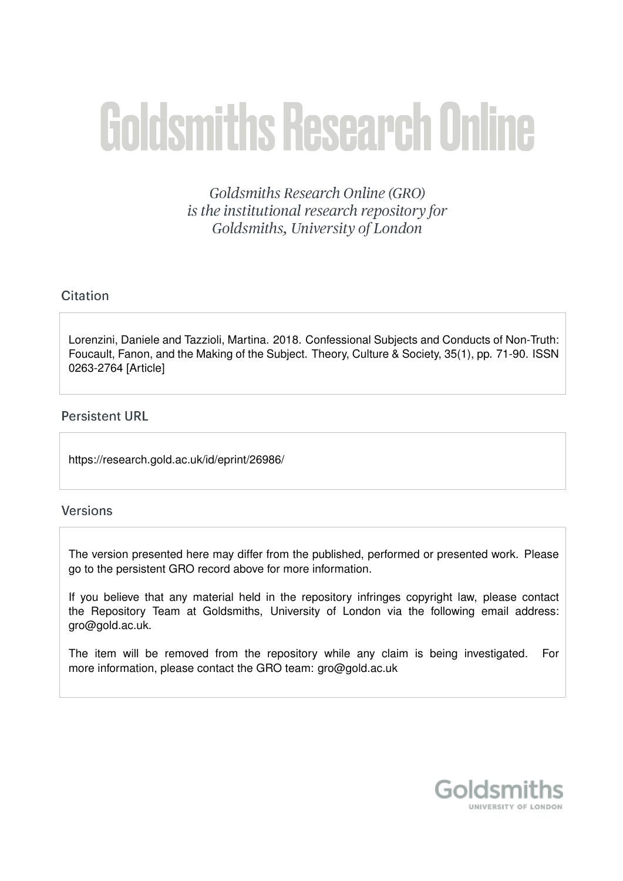# **Goldsmiths Research Online**

Goldsmiths Research Online (GRO) is the institutional research repository for Goldsmiths, University of London

# Citation

Lorenzini, Daniele and Tazzioli, Martina. 2018. Confessional Subjects and Conducts of Non-Truth: Foucault, Fanon, and the Making of the Subject. Theory, Culture & Society, 35(1), pp. 71-90. ISSN 0263-2764 [Article]

#### **Persistent URL**

https://research.gold.ac.uk/id/eprint/26986/

#### **Versions**

The version presented here may differ from the published, performed or presented work. Please go to the persistent GRO record above for more information.

If you believe that any material held in the repository infringes copyright law, please contact the Repository Team at Goldsmiths, University of London via the following email address: gro@gold.ac.uk.

The item will be removed from the repository while any claim is being investigated. For more information, please contact the GRO team: gro@gold.ac.uk

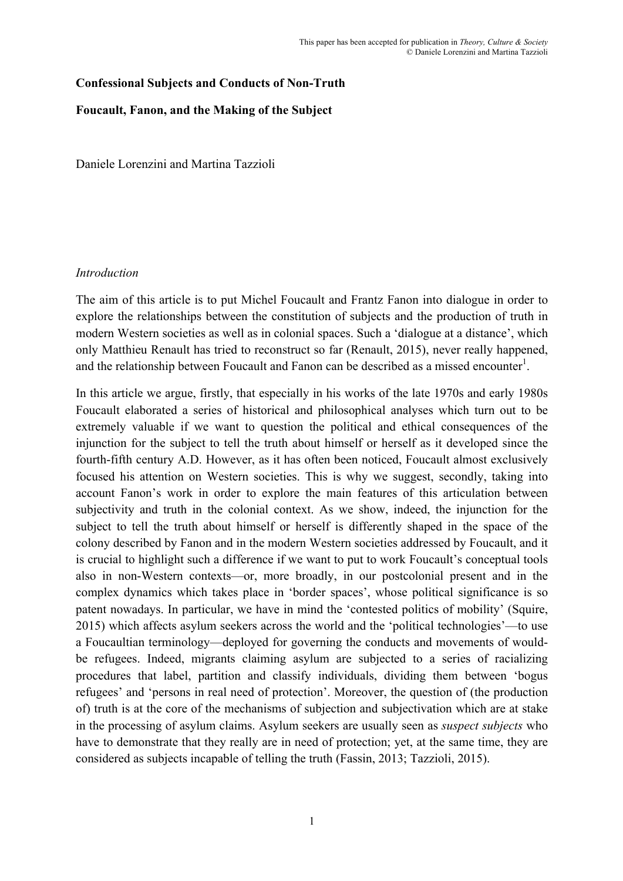# **Confessional Subjects and Conducts of Non-Truth**

#### **Foucault, Fanon, and the Making of the Subject**

Daniele Lorenzini and Martina Tazzioli

#### *Introduction*

The aim of this article is to put Michel Foucault and Frantz Fanon into dialogue in order to explore the relationships between the constitution of subjects and the production of truth in modern Western societies as well as in colonial spaces. Such a 'dialogue at a distance', which only Matthieu Renault has tried to reconstruct so far (Renault, 2015), never really happened, and the relationship between Foucault and Fanon can be described as a missed encounter<sup>1</sup>.

In this article we argue, firstly, that especially in his works of the late 1970s and early 1980s Foucault elaborated a series of historical and philosophical analyses which turn out to be extremely valuable if we want to question the political and ethical consequences of the injunction for the subject to tell the truth about himself or herself as it developed since the fourth-fifth century A.D. However, as it has often been noticed, Foucault almost exclusively focused his attention on Western societies. This is why we suggest, secondly, taking into account Fanon's work in order to explore the main features of this articulation between subjectivity and truth in the colonial context. As we show, indeed, the injunction for the subject to tell the truth about himself or herself is differently shaped in the space of the colony described by Fanon and in the modern Western societies addressed by Foucault, and it is crucial to highlight such a difference if we want to put to work Foucault's conceptual tools also in non-Western contexts—or, more broadly, in our postcolonial present and in the complex dynamics which takes place in 'border spaces', whose political significance is so patent nowadays. In particular, we have in mind the 'contested politics of mobility' (Squire, 2015) which affects asylum seekers across the world and the 'political technologies'—to use a Foucaultian terminology—deployed for governing the conducts and movements of wouldbe refugees. Indeed, migrants claiming asylum are subjected to a series of racializing procedures that label, partition and classify individuals, dividing them between 'bogus refugees' and 'persons in real need of protection'. Moreover, the question of (the production of) truth is at the core of the mechanisms of subjection and subjectivation which are at stake in the processing of asylum claims. Asylum seekers are usually seen as *suspect subjects* who have to demonstrate that they really are in need of protection; yet, at the same time, they are considered as subjects incapable of telling the truth (Fassin, 2013; Tazzioli, 2015).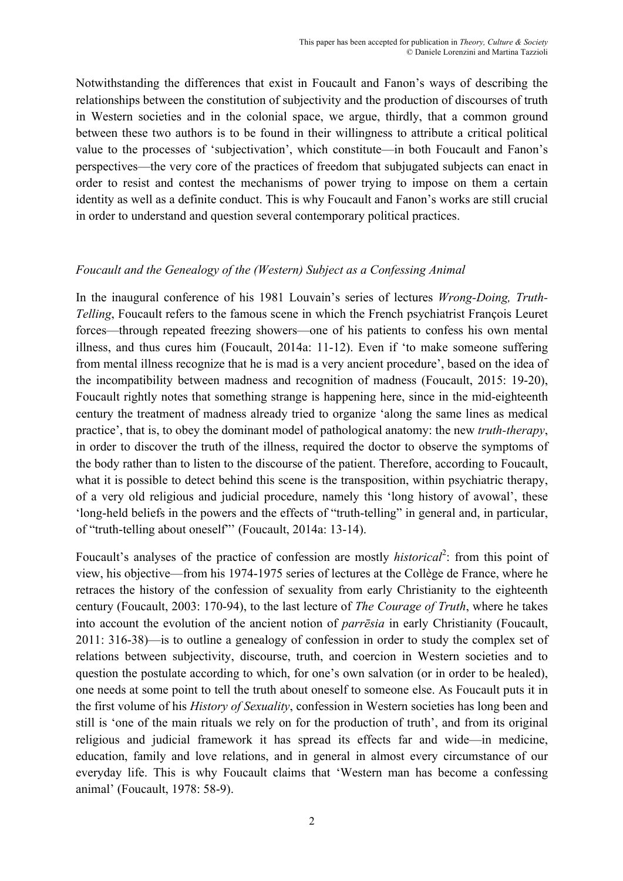Notwithstanding the differences that exist in Foucault and Fanon's ways of describing the relationships between the constitution of subjectivity and the production of discourses of truth in Western societies and in the colonial space, we argue, thirdly, that a common ground between these two authors is to be found in their willingness to attribute a critical political value to the processes of 'subjectivation', which constitute—in both Foucault and Fanon's perspectives—the very core of the practices of freedom that subjugated subjects can enact in order to resist and contest the mechanisms of power trying to impose on them a certain identity as well as a definite conduct. This is why Foucault and Fanon's works are still crucial in order to understand and question several contemporary political practices.

# *Foucault and the Genealogy of the (Western) Subject as a Confessing Animal*

In the inaugural conference of his 1981 Louvain's series of lectures *Wrong-Doing, Truth-Telling*, Foucault refers to the famous scene in which the French psychiatrist François Leuret forces—through repeated freezing showers—one of his patients to confess his own mental illness, and thus cures him (Foucault, 2014a: 11-12). Even if 'to make someone suffering from mental illness recognize that he is mad is a very ancient procedure', based on the idea of the incompatibility between madness and recognition of madness (Foucault, 2015: 19-20), Foucault rightly notes that something strange is happening here, since in the mid-eighteenth century the treatment of madness already tried to organize 'along the same lines as medical practice', that is, to obey the dominant model of pathological anatomy: the new *truth-therapy*, in order to discover the truth of the illness, required the doctor to observe the symptoms of the body rather than to listen to the discourse of the patient. Therefore, according to Foucault, what it is possible to detect behind this scene is the transposition, within psychiatric therapy, of a very old religious and judicial procedure, namely this 'long history of avowal', these 'long-held beliefs in the powers and the effects of "truth-telling" in general and, in particular, of "truth-telling about oneself"' (Foucault, 2014a: 13-14).

Foucault's analyses of the practice of confession are mostly *historical*<sup>2</sup>: from this point of view, his objective—from his 1974-1975 series of lectures at the Collège de France, where he retraces the history of the confession of sexuality from early Christianity to the eighteenth century (Foucault, 2003: 170-94), to the last lecture of *The Courage of Truth*, where he takes into account the evolution of the ancient notion of *parrēsia* in early Christianity (Foucault, 2011: 316-38)—is to outline a genealogy of confession in order to study the complex set of relations between subjectivity, discourse, truth, and coercion in Western societies and to question the postulate according to which, for one's own salvation (or in order to be healed), one needs at some point to tell the truth about oneself to someone else. As Foucault puts it in the first volume of his *History of Sexuality*, confession in Western societies has long been and still is 'one of the main rituals we rely on for the production of truth', and from its original religious and judicial framework it has spread its effects far and wide—in medicine, education, family and love relations, and in general in almost every circumstance of our everyday life. This is why Foucault claims that 'Western man has become a confessing animal' (Foucault, 1978: 58-9).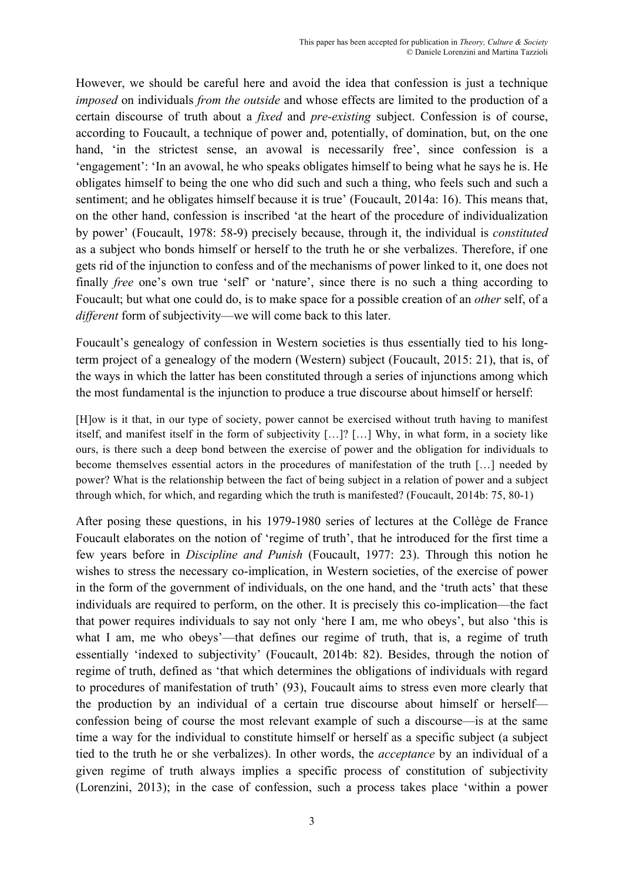However, we should be careful here and avoid the idea that confession is just a technique *imposed* on individuals *from the outside* and whose effects are limited to the production of a certain discourse of truth about a *fixed* and *pre-existing* subject. Confession is of course, according to Foucault, a technique of power and, potentially, of domination, but, on the one hand, 'in the strictest sense, an avowal is necessarily free', since confession is a 'engagement': 'In an avowal, he who speaks obligates himself to being what he says he is. He obligates himself to being the one who did such and such a thing, who feels such and such a sentiment; and he obligates himself because it is true' (Foucault, 2014a: 16). This means that, on the other hand, confession is inscribed 'at the heart of the procedure of individualization by power' (Foucault, 1978: 58-9) precisely because, through it, the individual is *constituted* as a subject who bonds himself or herself to the truth he or she verbalizes. Therefore, if one gets rid of the injunction to confess and of the mechanisms of power linked to it, one does not finally *free* one's own true 'self' or 'nature', since there is no such a thing according to Foucault; but what one could do, is to make space for a possible creation of an *other* self, of a *different* form of subjectivity—we will come back to this later.

Foucault's genealogy of confession in Western societies is thus essentially tied to his longterm project of a genealogy of the modern (Western) subject (Foucault, 2015: 21), that is, of the ways in which the latter has been constituted through a series of injunctions among which the most fundamental is the injunction to produce a true discourse about himself or herself:

[H]ow is it that, in our type of society, power cannot be exercised without truth having to manifest itself, and manifest itself in the form of subjectivity […]? […] Why, in what form, in a society like ours, is there such a deep bond between the exercise of power and the obligation for individuals to become themselves essential actors in the procedures of manifestation of the truth […] needed by power? What is the relationship between the fact of being subject in a relation of power and a subject through which, for which, and regarding which the truth is manifested? (Foucault, 2014b: 75, 80-1)

After posing these questions, in his 1979-1980 series of lectures at the Collège de France Foucault elaborates on the notion of 'regime of truth', that he introduced for the first time a few years before in *Discipline and Punish* (Foucault, 1977: 23). Through this notion he wishes to stress the necessary co-implication, in Western societies, of the exercise of power in the form of the government of individuals, on the one hand, and the 'truth acts' that these individuals are required to perform, on the other. It is precisely this co-implication—the fact that power requires individuals to say not only 'here I am, me who obeys', but also 'this is what I am, me who obeys'—that defines our regime of truth, that is, a regime of truth essentially 'indexed to subjectivity' (Foucault, 2014b: 82). Besides, through the notion of regime of truth, defined as 'that which determines the obligations of individuals with regard to procedures of manifestation of truth' (93), Foucault aims to stress even more clearly that the production by an individual of a certain true discourse about himself or herself confession being of course the most relevant example of such a discourse—is at the same time a way for the individual to constitute himself or herself as a specific subject (a subject tied to the truth he or she verbalizes). In other words, the *acceptance* by an individual of a given regime of truth always implies a specific process of constitution of subjectivity (Lorenzini, 2013); in the case of confession, such a process takes place 'within a power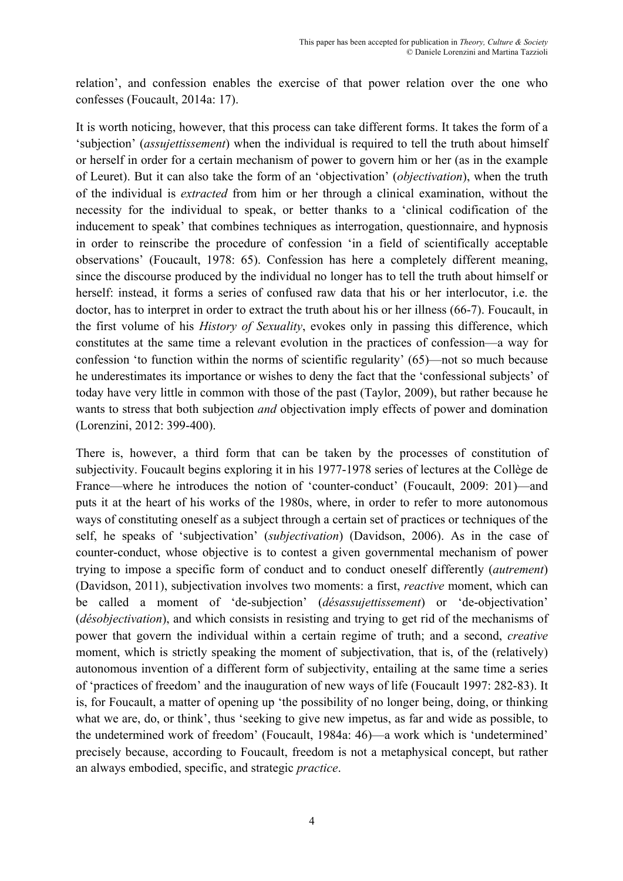relation', and confession enables the exercise of that power relation over the one who confesses (Foucault, 2014a: 17).

It is worth noticing, however, that this process can take different forms. It takes the form of a 'subjection' (*assujettissement*) when the individual is required to tell the truth about himself or herself in order for a certain mechanism of power to govern him or her (as in the example of Leuret). But it can also take the form of an 'objectivation' (*objectivation*), when the truth of the individual is *extracted* from him or her through a clinical examination, without the necessity for the individual to speak, or better thanks to a 'clinical codification of the inducement to speak' that combines techniques as interrogation, questionnaire, and hypnosis in order to reinscribe the procedure of confession 'in a field of scientifically acceptable observations' (Foucault, 1978: 65). Confession has here a completely different meaning, since the discourse produced by the individual no longer has to tell the truth about himself or herself: instead, it forms a series of confused raw data that his or her interlocutor, i.e. the doctor, has to interpret in order to extract the truth about his or her illness (66-7). Foucault, in the first volume of his *History of Sexuality*, evokes only in passing this difference, which constitutes at the same time a relevant evolution in the practices of confession—a way for confession 'to function within the norms of scientific regularity' (65)—not so much because he underestimates its importance or wishes to deny the fact that the 'confessional subjects' of today have very little in common with those of the past (Taylor, 2009), but rather because he wants to stress that both subjection *and* objectivation imply effects of power and domination (Lorenzini, 2012: 399-400).

There is, however, a third form that can be taken by the processes of constitution of subjectivity. Foucault begins exploring it in his 1977-1978 series of lectures at the Collège de France—where he introduces the notion of 'counter-conduct' (Foucault, 2009: 201)—and puts it at the heart of his works of the 1980s, where, in order to refer to more autonomous ways of constituting oneself as a subject through a certain set of practices or techniques of the self, he speaks of 'subjectivation' (*subjectivation*) (Davidson, 2006). As in the case of counter-conduct, whose objective is to contest a given governmental mechanism of power trying to impose a specific form of conduct and to conduct oneself differently (*autrement*) (Davidson, 2011), subjectivation involves two moments: a first, *reactive* moment, which can be called a moment of 'de-subjection' (*désassujettissement*) or 'de-objectivation' (*désobjectivation*), and which consists in resisting and trying to get rid of the mechanisms of power that govern the individual within a certain regime of truth; and a second, *creative* moment, which is strictly speaking the moment of subjectivation, that is, of the (relatively) autonomous invention of a different form of subjectivity, entailing at the same time a series of 'practices of freedom' and the inauguration of new ways of life (Foucault 1997: 282-83). It is, for Foucault, a matter of opening up 'the possibility of no longer being, doing, or thinking what we are, do, or think', thus 'seeking to give new impetus, as far and wide as possible, to the undetermined work of freedom' (Foucault, 1984a: 46)—a work which is 'undetermined' precisely because, according to Foucault, freedom is not a metaphysical concept, but rather an always embodied, specific, and strategic *practice*.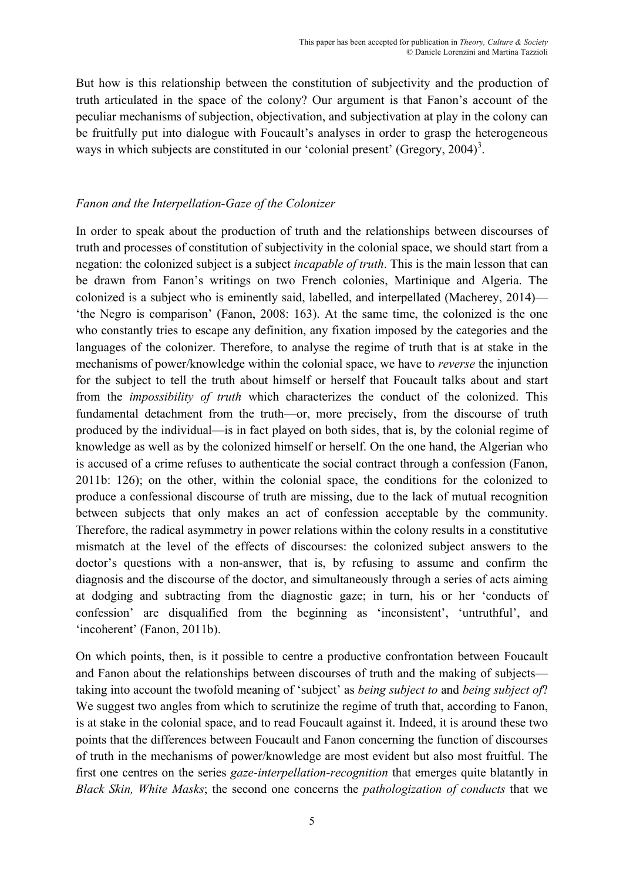But how is this relationship between the constitution of subjectivity and the production of truth articulated in the space of the colony? Our argument is that Fanon's account of the peculiar mechanisms of subjection, objectivation, and subjectivation at play in the colony can be fruitfully put into dialogue with Foucault's analyses in order to grasp the heterogeneous ways in which subjects are constituted in our 'colonial present' (Gregory,  $2004$ )<sup>3</sup>.

# *Fanon and the Interpellation-Gaze of the Colonizer*

In order to speak about the production of truth and the relationships between discourses of truth and processes of constitution of subjectivity in the colonial space, we should start from a negation: the colonized subject is a subject *incapable of truth*. This is the main lesson that can be drawn from Fanon's writings on two French colonies, Martinique and Algeria. The colonized is a subject who is eminently said, labelled, and interpellated (Macherey, 2014)— 'the Negro is comparison' (Fanon, 2008: 163). At the same time, the colonized is the one who constantly tries to escape any definition, any fixation imposed by the categories and the languages of the colonizer. Therefore, to analyse the regime of truth that is at stake in the mechanisms of power/knowledge within the colonial space, we have to *reverse* the injunction for the subject to tell the truth about himself or herself that Foucault talks about and start from the *impossibility of truth* which characterizes the conduct of the colonized. This fundamental detachment from the truth—or, more precisely, from the discourse of truth produced by the individual—is in fact played on both sides, that is, by the colonial regime of knowledge as well as by the colonized himself or herself. On the one hand, the Algerian who is accused of a crime refuses to authenticate the social contract through a confession (Fanon, 2011b: 126); on the other, within the colonial space, the conditions for the colonized to produce a confessional discourse of truth are missing, due to the lack of mutual recognition between subjects that only makes an act of confession acceptable by the community. Therefore, the radical asymmetry in power relations within the colony results in a constitutive mismatch at the level of the effects of discourses: the colonized subject answers to the doctor's questions with a non-answer, that is, by refusing to assume and confirm the diagnosis and the discourse of the doctor, and simultaneously through a series of acts aiming at dodging and subtracting from the diagnostic gaze; in turn, his or her 'conducts of confession' are disqualified from the beginning as 'inconsistent', 'untruthful', and 'incoherent' (Fanon, 2011b).

On which points, then, is it possible to centre a productive confrontation between Foucault and Fanon about the relationships between discourses of truth and the making of subjects taking into account the twofold meaning of 'subject' as *being subject to* and *being subject of*? We suggest two angles from which to scrutinize the regime of truth that, according to Fanon, is at stake in the colonial space, and to read Foucault against it. Indeed, it is around these two points that the differences between Foucault and Fanon concerning the function of discourses of truth in the mechanisms of power/knowledge are most evident but also most fruitful. The first one centres on the series *gaze*-*interpellation*-*recognition* that emerges quite blatantly in *Black Skin, White Masks*; the second one concerns the *pathologization of conducts* that we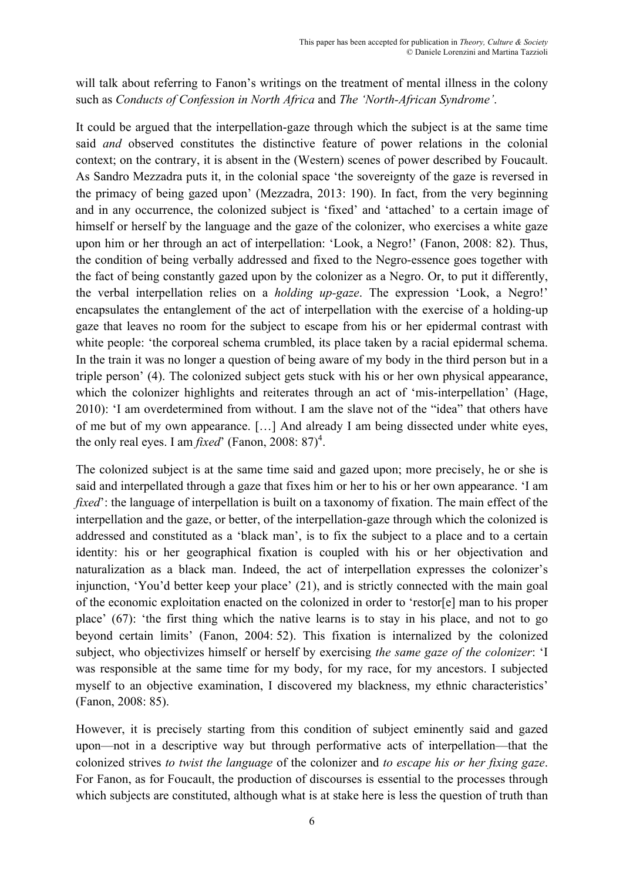will talk about referring to Fanon's writings on the treatment of mental illness in the colony such as *Conducts of Confession in North Africa* and *The 'North-African Syndrome'*.

It could be argued that the interpellation-gaze through which the subject is at the same time said *and* observed constitutes the distinctive feature of power relations in the colonial context; on the contrary, it is absent in the (Western) scenes of power described by Foucault. As Sandro Mezzadra puts it, in the colonial space 'the sovereignty of the gaze is reversed in the primacy of being gazed upon' (Mezzadra, 2013: 190). In fact, from the very beginning and in any occurrence, the colonized subject is 'fixed' and 'attached' to a certain image of himself or herself by the language and the gaze of the colonizer, who exercises a white gaze upon him or her through an act of interpellation: 'Look, a Negro!' (Fanon, 2008: 82). Thus, the condition of being verbally addressed and fixed to the Negro-essence goes together with the fact of being constantly gazed upon by the colonizer as a Negro. Or, to put it differently, the verbal interpellation relies on a *holding up-gaze*. The expression 'Look, a Negro!' encapsulates the entanglement of the act of interpellation with the exercise of a holding-up gaze that leaves no room for the subject to escape from his or her epidermal contrast with white people: 'the corporeal schema crumbled, its place taken by a racial epidermal schema. In the train it was no longer a question of being aware of my body in the third person but in a triple person' (4). The colonized subject gets stuck with his or her own physical appearance, which the colonizer highlights and reiterates through an act of 'mis-interpellation' (Hage, 2010): 'I am overdetermined from without. I am the slave not of the "idea" that others have of me but of my own appearance. […] And already I am being dissected under white eyes, the only real eyes. I am *fixed*' (Fanon, 2008: 87)<sup>4</sup>.

The colonized subject is at the same time said and gazed upon; more precisely, he or she is said and interpellated through a gaze that fixes him or her to his or her own appearance. 'I am *fixed*': the language of interpellation is built on a taxonomy of fixation. The main effect of the interpellation and the gaze, or better, of the interpellation-gaze through which the colonized is addressed and constituted as a 'black man', is to fix the subject to a place and to a certain identity: his or her geographical fixation is coupled with his or her objectivation and naturalization as a black man. Indeed, the act of interpellation expresses the colonizer's injunction, 'You'd better keep your place' (21), and is strictly connected with the main goal of the economic exploitation enacted on the colonized in order to 'restor[e] man to his proper place' (67): 'the first thing which the native learns is to stay in his place, and not to go beyond certain limits' (Fanon, 2004: 52). This fixation is internalized by the colonized subject, who objectivizes himself or herself by exercising *the same gaze of the colonizer*: 'I was responsible at the same time for my body, for my race, for my ancestors. I subjected myself to an objective examination, I discovered my blackness, my ethnic characteristics' (Fanon, 2008: 85).

However, it is precisely starting from this condition of subject eminently said and gazed upon—not in a descriptive way but through performative acts of interpellation—that the colonized strives *to twist the language* of the colonizer and *to escape his or her fixing gaze*. For Fanon, as for Foucault, the production of discourses is essential to the processes through which subjects are constituted, although what is at stake here is less the question of truth than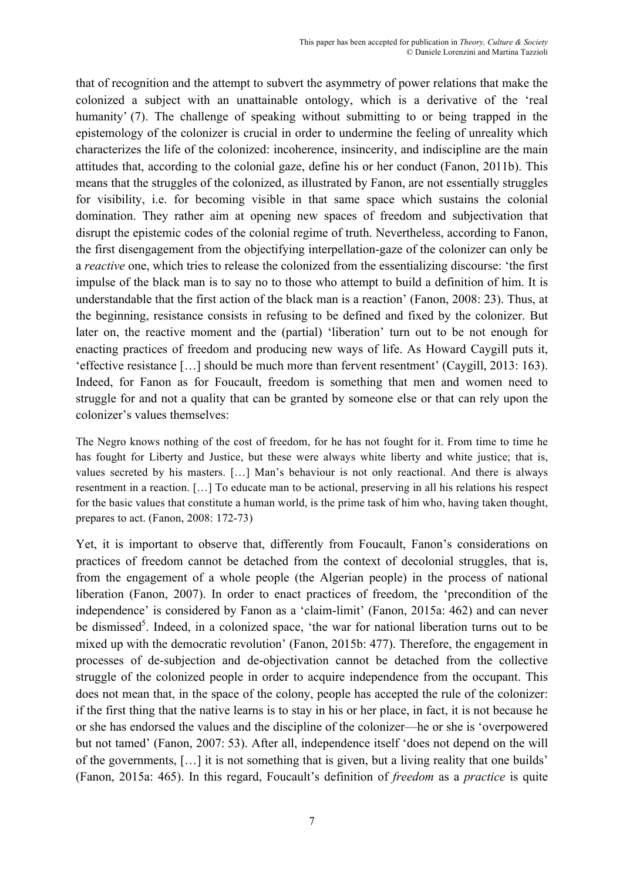that of recognition and the attempt to subvert the asymmetry of power relations that make the colonized a subject with an unattainable ontology, which is a derivative of the 'real humanity' (7). The challenge of speaking without submitting to or being trapped in the epistemology of the colonizer is crucial in order to undermine the feeling of unreality which characterizes the life of the colonized: incoherence, insincerity, and indiscipline are the main attitudes that, according to the colonial gaze, define his or her conduct (Fanon, 2011b). This means that the struggles of the colonized, as illustrated by Fanon, are not essentially struggles for visibility, i.e. for becoming visible in that same space which sustains the colonial domination. They rather aim at opening new spaces of freedom and subjectivation that disrupt the epistemic codes of the colonial regime of truth. Nevertheless, according to Fanon, the first disengagement from the objectifying interpellation-gaze of the colonizer can only be a *reactive* one, which tries to release the colonized from the essentializing discourse: 'the first impulse of the black man is to say no to those who attempt to build a definition of him. It is understandable that the first action of the black man is a reaction' (Fanon, 2008: 23). Thus, at the beginning, resistance consists in refusing to be defined and fixed by the colonizer. But later on, the reactive moment and the (partial) 'liberation' turn out to be not enough for enacting practices of freedom and producing new ways of life. As Howard Caygill puts it, 'effective resistance […] should be much more than fervent resentment' (Caygill, 2013: 163). Indeed, for Fanon as for Foucault, freedom is something that men and women need to struggle for and not a quality that can be granted by someone else or that can rely upon the colonizer's values themselves:

The Negro knows nothing of the cost of freedom, for he has not fought for it. From time to time he has fought for Liberty and Justice, but these were always white liberty and white justice; that is, values secreted by his masters. […] Man's behaviour is not only reactional. And there is always resentment in a reaction. […] To educate man to be actional, preserving in all his relations his respect for the basic values that constitute a human world, is the prime task of him who, having taken thought, prepares to act. (Fanon, 2008: 172-73)

Yet, it is important to observe that, differently from Foucault, Fanon's considerations on practices of freedom cannot be detached from the context of decolonial struggles, that is, from the engagement of a whole people (the Algerian people) in the process of national liberation (Fanon, 2007). In order to enact practices of freedom, the 'precondition of the independence' is considered by Fanon as a 'claim-limit' (Fanon, 2015a: 462) and can never be dismissed<sup>5</sup>. Indeed, in a colonized space, 'the war for national liberation turns out to be mixed up with the democratic revolution' (Fanon, 2015b: 477). Therefore, the engagement in processes of de-subjection and de-objectivation cannot be detached from the collective struggle of the colonized people in order to acquire independence from the occupant. This does not mean that, in the space of the colony, people has accepted the rule of the colonizer: if the first thing that the native learns is to stay in his or her place, in fact, it is not because he or she has endorsed the values and the discipline of the colonizer—he or she is 'overpowered but not tamed' (Fanon, 2007: 53). After all, independence itself 'does not depend on the will of the governments, […] it is not something that is given, but a living reality that one builds' (Fanon, 2015a: 465). In this regard, Foucault's definition of *freedom* as a *practice* is quite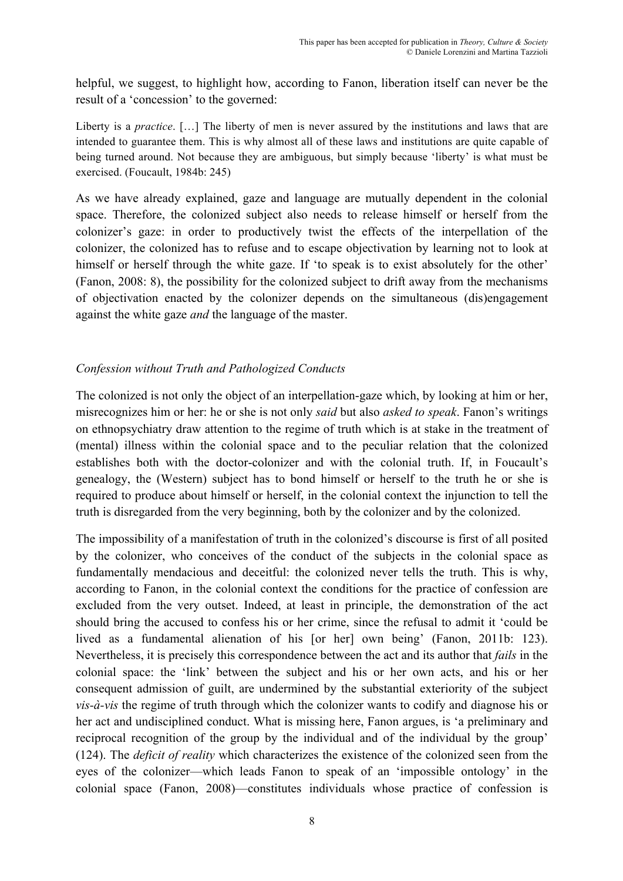helpful, we suggest, to highlight how, according to Fanon, liberation itself can never be the result of a 'concession' to the governed:

Liberty is a *practice*. […] The liberty of men is never assured by the institutions and laws that are intended to guarantee them. This is why almost all of these laws and institutions are quite capable of being turned around. Not because they are ambiguous, but simply because 'liberty' is what must be exercised. (Foucault, 1984b: 245)

As we have already explained, gaze and language are mutually dependent in the colonial space. Therefore, the colonized subject also needs to release himself or herself from the colonizer's gaze: in order to productively twist the effects of the interpellation of the colonizer, the colonized has to refuse and to escape objectivation by learning not to look at himself or herself through the white gaze. If 'to speak is to exist absolutely for the other' (Fanon, 2008: 8), the possibility for the colonized subject to drift away from the mechanisms of objectivation enacted by the colonizer depends on the simultaneous (dis)engagement against the white gaze *and* the language of the master.

# *Confession without Truth and Pathologized Conducts*

The colonized is not only the object of an interpellation-gaze which, by looking at him or her, misrecognizes him or her: he or she is not only *said* but also *asked to speak*. Fanon's writings on ethnopsychiatry draw attention to the regime of truth which is at stake in the treatment of (mental) illness within the colonial space and to the peculiar relation that the colonized establishes both with the doctor-colonizer and with the colonial truth. If, in Foucault's genealogy, the (Western) subject has to bond himself or herself to the truth he or she is required to produce about himself or herself, in the colonial context the injunction to tell the truth is disregarded from the very beginning, both by the colonizer and by the colonized.

The impossibility of a manifestation of truth in the colonized's discourse is first of all posited by the colonizer, who conceives of the conduct of the subjects in the colonial space as fundamentally mendacious and deceitful: the colonized never tells the truth. This is why, according to Fanon, in the colonial context the conditions for the practice of confession are excluded from the very outset. Indeed, at least in principle, the demonstration of the act should bring the accused to confess his or her crime, since the refusal to admit it 'could be lived as a fundamental alienation of his [or her] own being' (Fanon, 2011b: 123). Nevertheless, it is precisely this correspondence between the act and its author that *fails* in the colonial space: the 'link' between the subject and his or her own acts, and his or her consequent admission of guilt, are undermined by the substantial exteriority of the subject *vis-à-vis* the regime of truth through which the colonizer wants to codify and diagnose his or her act and undisciplined conduct. What is missing here, Fanon argues, is 'a preliminary and reciprocal recognition of the group by the individual and of the individual by the group' (124). The *deficit of reality* which characterizes the existence of the colonized seen from the eyes of the colonizer—which leads Fanon to speak of an 'impossible ontology' in the colonial space (Fanon, 2008)—constitutes individuals whose practice of confession is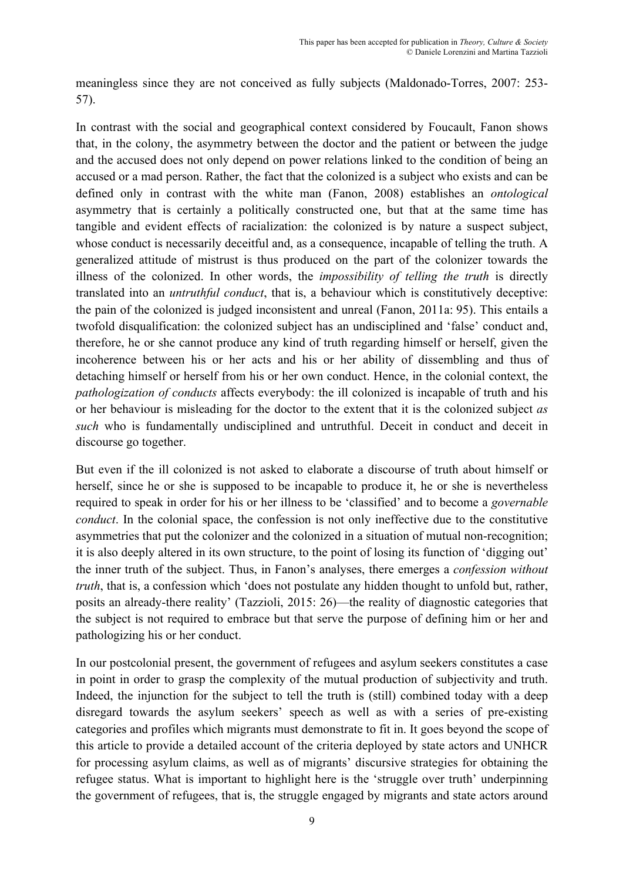meaningless since they are not conceived as fully subjects (Maldonado-Torres, 2007: 253- 57).

In contrast with the social and geographical context considered by Foucault, Fanon shows that, in the colony, the asymmetry between the doctor and the patient or between the judge and the accused does not only depend on power relations linked to the condition of being an accused or a mad person. Rather, the fact that the colonized is a subject who exists and can be defined only in contrast with the white man (Fanon, 2008) establishes an *ontological* asymmetry that is certainly a politically constructed one, but that at the same time has tangible and evident effects of racialization: the colonized is by nature a suspect subject, whose conduct is necessarily deceitful and, as a consequence, incapable of telling the truth. A generalized attitude of mistrust is thus produced on the part of the colonizer towards the illness of the colonized. In other words, the *impossibility of telling the truth* is directly translated into an *untruthful conduct*, that is, a behaviour which is constitutively deceptive: the pain of the colonized is judged inconsistent and unreal (Fanon, 2011a: 95). This entails a twofold disqualification: the colonized subject has an undisciplined and 'false' conduct and, therefore, he or she cannot produce any kind of truth regarding himself or herself, given the incoherence between his or her acts and his or her ability of dissembling and thus of detaching himself or herself from his or her own conduct. Hence, in the colonial context, the *pathologization of conducts* affects everybody: the ill colonized is incapable of truth and his or her behaviour is misleading for the doctor to the extent that it is the colonized subject *as such* who is fundamentally undisciplined and untruthful. Deceit in conduct and deceit in discourse go together.

But even if the ill colonized is not asked to elaborate a discourse of truth about himself or herself, since he or she is supposed to be incapable to produce it, he or she is nevertheless required to speak in order for his or her illness to be 'classified' and to become a *governable conduct*. In the colonial space, the confession is not only ineffective due to the constitutive asymmetries that put the colonizer and the colonized in a situation of mutual non-recognition; it is also deeply altered in its own structure, to the point of losing its function of 'digging out' the inner truth of the subject. Thus, in Fanon's analyses, there emerges a *confession without truth*, that is, a confession which 'does not postulate any hidden thought to unfold but, rather, posits an already-there reality' (Tazzioli, 2015: 26)—the reality of diagnostic categories that the subject is not required to embrace but that serve the purpose of defining him or her and pathologizing his or her conduct.

In our postcolonial present, the government of refugees and asylum seekers constitutes a case in point in order to grasp the complexity of the mutual production of subjectivity and truth. Indeed, the injunction for the subject to tell the truth is (still) combined today with a deep disregard towards the asylum seekers' speech as well as with a series of pre-existing categories and profiles which migrants must demonstrate to fit in. It goes beyond the scope of this article to provide a detailed account of the criteria deployed by state actors and UNHCR for processing asylum claims, as well as of migrants' discursive strategies for obtaining the refugee status. What is important to highlight here is the 'struggle over truth' underpinning the government of refugees, that is, the struggle engaged by migrants and state actors around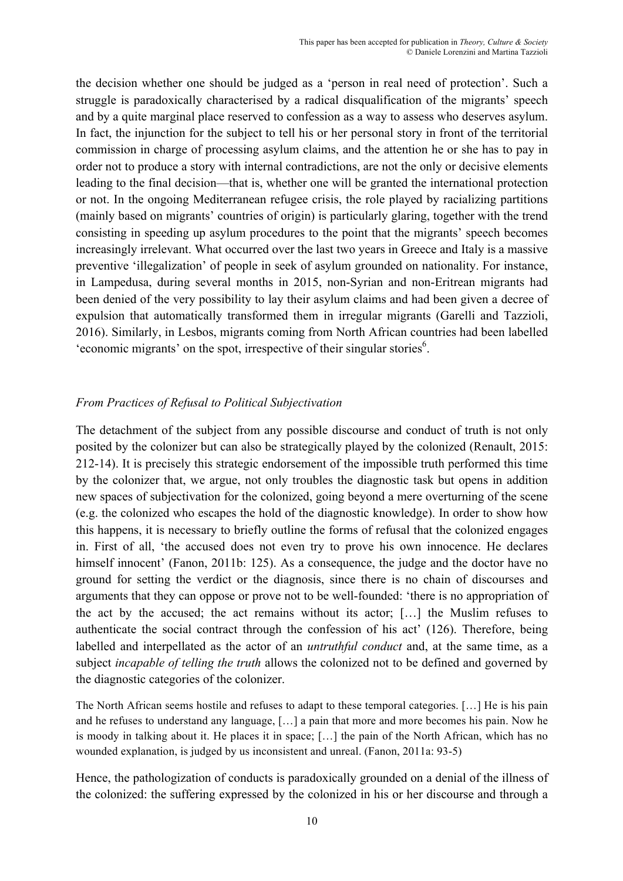the decision whether one should be judged as a 'person in real need of protection'. Such a struggle is paradoxically characterised by a radical disqualification of the migrants' speech and by a quite marginal place reserved to confession as a way to assess who deserves asylum. In fact, the injunction for the subject to tell his or her personal story in front of the territorial commission in charge of processing asylum claims, and the attention he or she has to pay in order not to produce a story with internal contradictions, are not the only or decisive elements leading to the final decision—that is, whether one will be granted the international protection or not. In the ongoing Mediterranean refugee crisis, the role played by racializing partitions (mainly based on migrants' countries of origin) is particularly glaring, together with the trend consisting in speeding up asylum procedures to the point that the migrants' speech becomes increasingly irrelevant. What occurred over the last two years in Greece and Italy is a massive preventive 'illegalization' of people in seek of asylum grounded on nationality. For instance, in Lampedusa, during several months in 2015, non-Syrian and non-Eritrean migrants had been denied of the very possibility to lay their asylum claims and had been given a decree of expulsion that automatically transformed them in irregular migrants (Garelli and Tazzioli, 2016). Similarly, in Lesbos, migrants coming from North African countries had been labelled 'economic migrants' on the spot, irrespective of their singular stories $<sup>6</sup>$ .</sup>

# *From Practices of Refusal to Political Subjectivation*

The detachment of the subject from any possible discourse and conduct of truth is not only posited by the colonizer but can also be strategically played by the colonized (Renault, 2015: 212-14). It is precisely this strategic endorsement of the impossible truth performed this time by the colonizer that, we argue, not only troubles the diagnostic task but opens in addition new spaces of subjectivation for the colonized, going beyond a mere overturning of the scene (e.g. the colonized who escapes the hold of the diagnostic knowledge). In order to show how this happens, it is necessary to briefly outline the forms of refusal that the colonized engages in. First of all, 'the accused does not even try to prove his own innocence. He declares himself innocent' (Fanon, 2011b: 125). As a consequence, the judge and the doctor have no ground for setting the verdict or the diagnosis, since there is no chain of discourses and arguments that they can oppose or prove not to be well-founded: 'there is no appropriation of the act by the accused; the act remains without its actor; […] the Muslim refuses to authenticate the social contract through the confession of his act' (126). Therefore, being labelled and interpellated as the actor of an *untruthful conduct* and, at the same time, as a subject *incapable of telling the truth* allows the colonized not to be defined and governed by the diagnostic categories of the colonizer.

The North African seems hostile and refuses to adapt to these temporal categories. […] He is his pain and he refuses to understand any language, […] a pain that more and more becomes his pain. Now he is moody in talking about it. He places it in space; […] the pain of the North African, which has no wounded explanation, is judged by us inconsistent and unreal. (Fanon, 2011a: 93-5)

Hence, the pathologization of conducts is paradoxically grounded on a denial of the illness of the colonized: the suffering expressed by the colonized in his or her discourse and through a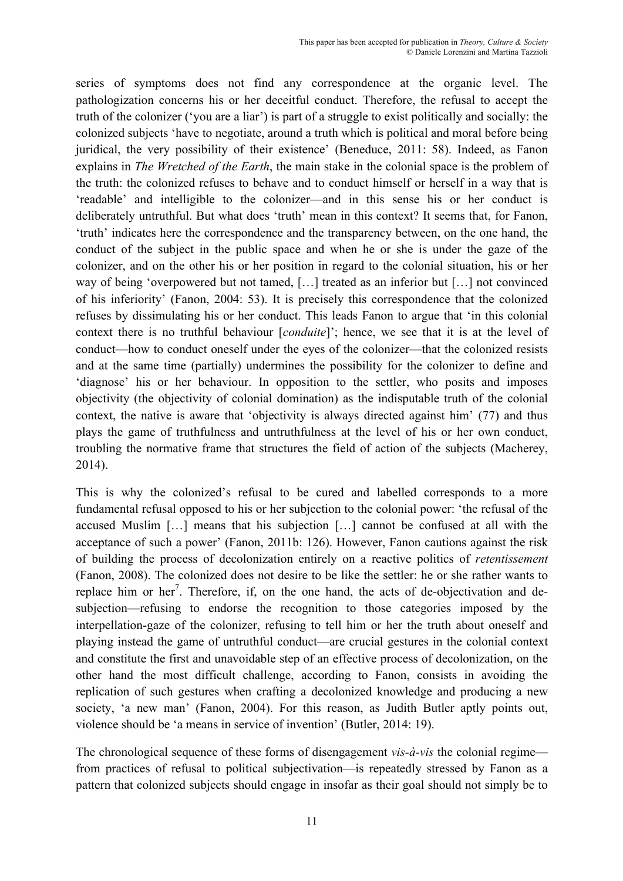series of symptoms does not find any correspondence at the organic level. The pathologization concerns his or her deceitful conduct. Therefore, the refusal to accept the truth of the colonizer ('you are a liar') is part of a struggle to exist politically and socially: the colonized subjects 'have to negotiate, around a truth which is political and moral before being juridical, the very possibility of their existence' (Beneduce, 2011: 58). Indeed, as Fanon explains in *The Wretched of the Earth*, the main stake in the colonial space is the problem of the truth: the colonized refuses to behave and to conduct himself or herself in a way that is 'readable' and intelligible to the colonizer—and in this sense his or her conduct is deliberately untruthful. But what does 'truth' mean in this context? It seems that, for Fanon, 'truth' indicates here the correspondence and the transparency between, on the one hand, the conduct of the subject in the public space and when he or she is under the gaze of the colonizer, and on the other his or her position in regard to the colonial situation, his or her way of being 'overpowered but not tamed, […] treated as an inferior but […] not convinced of his inferiority' (Fanon, 2004: 53). It is precisely this correspondence that the colonized refuses by dissimulating his or her conduct. This leads Fanon to argue that 'in this colonial context there is no truthful behaviour [*conduite*]'; hence, we see that it is at the level of conduct—how to conduct oneself under the eyes of the colonizer—that the colonized resists and at the same time (partially) undermines the possibility for the colonizer to define and 'diagnose' his or her behaviour. In opposition to the settler, who posits and imposes objectivity (the objectivity of colonial domination) as the indisputable truth of the colonial context, the native is aware that 'objectivity is always directed against him' (77) and thus plays the game of truthfulness and untruthfulness at the level of his or her own conduct, troubling the normative frame that structures the field of action of the subjects (Macherey, 2014).

This is why the colonized's refusal to be cured and labelled corresponds to a more fundamental refusal opposed to his or her subjection to the colonial power: 'the refusal of the accused Muslim […] means that his subjection […] cannot be confused at all with the acceptance of such a power' (Fanon, 2011b: 126). However, Fanon cautions against the risk of building the process of decolonization entirely on a reactive politics of *retentissement* (Fanon, 2008). The colonized does not desire to be like the settler: he or she rather wants to replace him or her<sup>7</sup>. Therefore, if, on the one hand, the acts of de-objectivation and desubjection—refusing to endorse the recognition to those categories imposed by the interpellation-gaze of the colonizer, refusing to tell him or her the truth about oneself and playing instead the game of untruthful conduct—are crucial gestures in the colonial context and constitute the first and unavoidable step of an effective process of decolonization, on the other hand the most difficult challenge, according to Fanon, consists in avoiding the replication of such gestures when crafting a decolonized knowledge and producing a new society, 'a new man' (Fanon, 2004). For this reason, as Judith Butler aptly points out, violence should be 'a means in service of invention' (Butler, 2014: 19).

The chronological sequence of these forms of disengagement *vis-à-vis* the colonial regime from practices of refusal to political subjectivation—is repeatedly stressed by Fanon as a pattern that colonized subjects should engage in insofar as their goal should not simply be to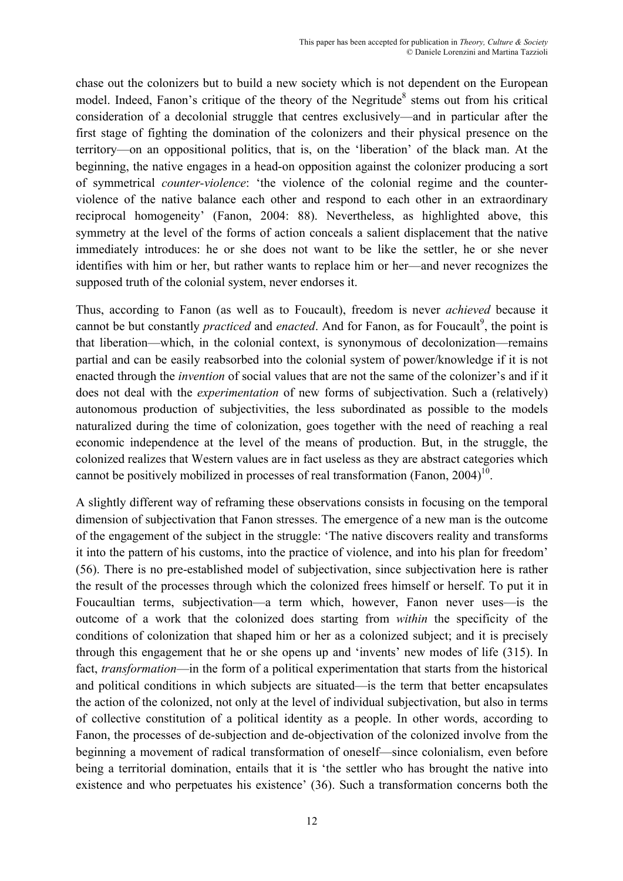chase out the colonizers but to build a new society which is not dependent on the European model. Indeed, Fanon's critique of the theory of the Negritude<sup>8</sup> stems out from his critical consideration of a decolonial struggle that centres exclusively—and in particular after the first stage of fighting the domination of the colonizers and their physical presence on the territory—on an oppositional politics, that is, on the 'liberation' of the black man. At the beginning, the native engages in a head-on opposition against the colonizer producing a sort of symmetrical *counter-violence*: 'the violence of the colonial regime and the counterviolence of the native balance each other and respond to each other in an extraordinary reciprocal homogeneity' (Fanon, 2004: 88). Nevertheless, as highlighted above, this symmetry at the level of the forms of action conceals a salient displacement that the native immediately introduces: he or she does not want to be like the settler, he or she never identifies with him or her, but rather wants to replace him or her—and never recognizes the supposed truth of the colonial system, never endorses it.

Thus, according to Fanon (as well as to Foucault), freedom is never *achieved* because it cannot be but constantly *practiced* and *enacted*. And for Fanon, as for Foucault<sup>9</sup>, the point is that liberation—which, in the colonial context, is synonymous of decolonization—remains partial and can be easily reabsorbed into the colonial system of power/knowledge if it is not enacted through the *invention* of social values that are not the same of the colonizer's and if it does not deal with the *experimentation* of new forms of subjectivation. Such a (relatively) autonomous production of subjectivities, the less subordinated as possible to the models naturalized during the time of colonization, goes together with the need of reaching a real economic independence at the level of the means of production. But, in the struggle, the colonized realizes that Western values are in fact useless as they are abstract categories which cannot be positively mobilized in processes of real transformation (Fanon,  $2004$ )<sup>10</sup>.

A slightly different way of reframing these observations consists in focusing on the temporal dimension of subjectivation that Fanon stresses. The emergence of a new man is the outcome of the engagement of the subject in the struggle: 'The native discovers reality and transforms it into the pattern of his customs, into the practice of violence, and into his plan for freedom' (56). There is no pre-established model of subjectivation, since subjectivation here is rather the result of the processes through which the colonized frees himself or herself. To put it in Foucaultian terms, subjectivation—a term which, however, Fanon never uses—is the outcome of a work that the colonized does starting from *within* the specificity of the conditions of colonization that shaped him or her as a colonized subject; and it is precisely through this engagement that he or she opens up and 'invents' new modes of life (315). In fact, *transformation*—in the form of a political experimentation that starts from the historical and political conditions in which subjects are situated—is the term that better encapsulates the action of the colonized, not only at the level of individual subjectivation, but also in terms of collective constitution of a political identity as a people. In other words, according to Fanon, the processes of de-subjection and de-objectivation of the colonized involve from the beginning a movement of radical transformation of oneself—since colonialism, even before being a territorial domination, entails that it is 'the settler who has brought the native into existence and who perpetuates his existence' (36). Such a transformation concerns both the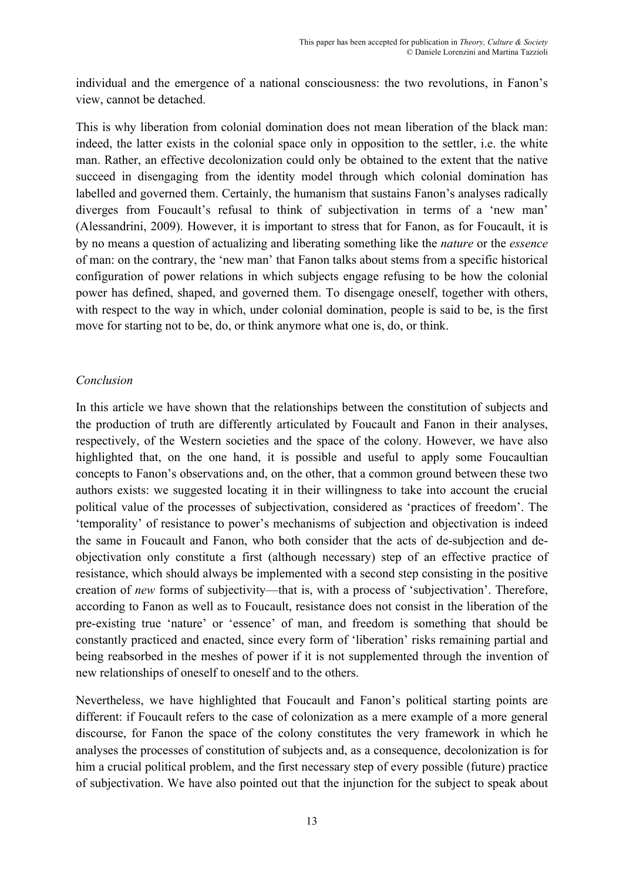individual and the emergence of a national consciousness: the two revolutions, in Fanon's view, cannot be detached.

This is why liberation from colonial domination does not mean liberation of the black man: indeed, the latter exists in the colonial space only in opposition to the settler, i.e. the white man. Rather, an effective decolonization could only be obtained to the extent that the native succeed in disengaging from the identity model through which colonial domination has labelled and governed them. Certainly, the humanism that sustains Fanon's analyses radically diverges from Foucault's refusal to think of subjectivation in terms of a 'new man' (Alessandrini, 2009). However, it is important to stress that for Fanon, as for Foucault, it is by no means a question of actualizing and liberating something like the *nature* or the *essence* of man: on the contrary, the 'new man' that Fanon talks about stems from a specific historical configuration of power relations in which subjects engage refusing to be how the colonial power has defined, shaped, and governed them. To disengage oneself, together with others, with respect to the way in which, under colonial domination, people is said to be, is the first move for starting not to be, do, or think anymore what one is, do, or think.

#### *Conclusion*

In this article we have shown that the relationships between the constitution of subjects and the production of truth are differently articulated by Foucault and Fanon in their analyses, respectively, of the Western societies and the space of the colony. However, we have also highlighted that, on the one hand, it is possible and useful to apply some Foucaultian concepts to Fanon's observations and, on the other, that a common ground between these two authors exists: we suggested locating it in their willingness to take into account the crucial political value of the processes of subjectivation, considered as 'practices of freedom'. The 'temporality' of resistance to power's mechanisms of subjection and objectivation is indeed the same in Foucault and Fanon, who both consider that the acts of de-subjection and deobjectivation only constitute a first (although necessary) step of an effective practice of resistance, which should always be implemented with a second step consisting in the positive creation of *new* forms of subjectivity—that is, with a process of 'subjectivation'. Therefore, according to Fanon as well as to Foucault, resistance does not consist in the liberation of the pre-existing true 'nature' or 'essence' of man, and freedom is something that should be constantly practiced and enacted, since every form of 'liberation' risks remaining partial and being reabsorbed in the meshes of power if it is not supplemented through the invention of new relationships of oneself to oneself and to the others.

Nevertheless, we have highlighted that Foucault and Fanon's political starting points are different: if Foucault refers to the case of colonization as a mere example of a more general discourse, for Fanon the space of the colony constitutes the very framework in which he analyses the processes of constitution of subjects and, as a consequence, decolonization is for him a crucial political problem, and the first necessary step of every possible (future) practice of subjectivation. We have also pointed out that the injunction for the subject to speak about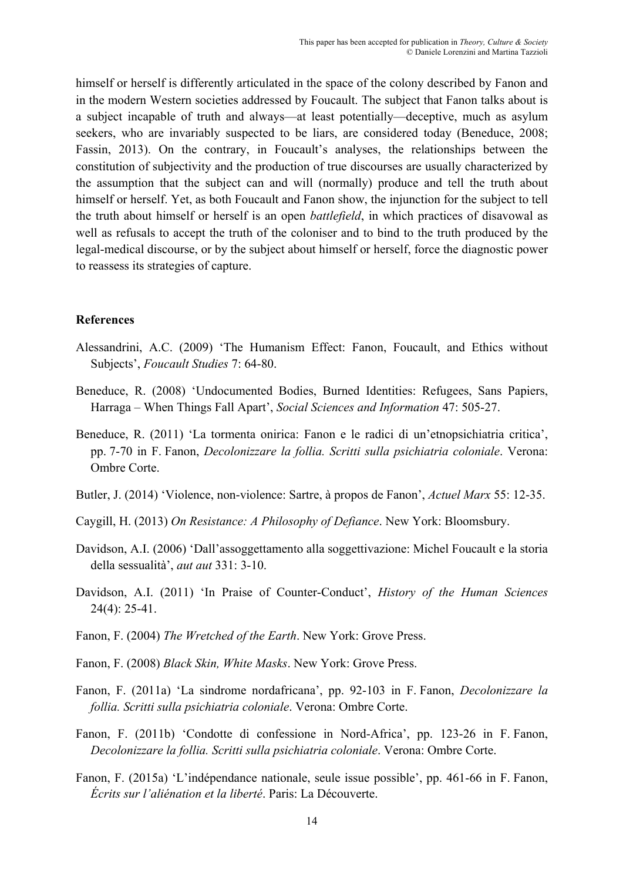himself or herself is differently articulated in the space of the colony described by Fanon and in the modern Western societies addressed by Foucault. The subject that Fanon talks about is a subject incapable of truth and always—at least potentially—deceptive, much as asylum seekers, who are invariably suspected to be liars, are considered today (Beneduce, 2008; Fassin, 2013). On the contrary, in Foucault's analyses, the relationships between the constitution of subjectivity and the production of true discourses are usually characterized by the assumption that the subject can and will (normally) produce and tell the truth about himself or herself. Yet, as both Foucault and Fanon show, the injunction for the subject to tell the truth about himself or herself is an open *battlefield*, in which practices of disavowal as well as refusals to accept the truth of the coloniser and to bind to the truth produced by the legal-medical discourse, or by the subject about himself or herself, force the diagnostic power to reassess its strategies of capture.

#### **References**

- Alessandrini, A.C. (2009) 'The Humanism Effect: Fanon, Foucault, and Ethics without Subjects', *Foucault Studies* 7: 64-80.
- Beneduce, R. (2008) 'Undocumented Bodies, Burned Identities: Refugees, Sans Papiers, Harraga – When Things Fall Apart', *Social Sciences and Information* 47: 505-27.
- Beneduce, R. (2011) 'La tormenta onirica: Fanon e le radici di un'etnopsichiatria critica', pp. 7-70 in F. Fanon, *Decolonizzare la follia. Scritti sulla psichiatria coloniale*. Verona: Ombre Corte.
- Butler, J. (2014) 'Violence, non-violence: Sartre, à propos de Fanon', *Actuel Marx* 55: 12-35.
- Caygill, H. (2013) *On Resistance: A Philosophy of Defiance*. New York: Bloomsbury.
- Davidson, A.I. (2006) 'Dall'assoggettamento alla soggettivazione: Michel Foucault e la storia della sessualità', *aut aut* 331: 3-10.
- Davidson, A.I. (2011) 'In Praise of Counter-Conduct', *History of the Human Sciences* 24(4): 25-41.
- Fanon, F. (2004) *The Wretched of the Earth*. New York: Grove Press.
- Fanon, F. (2008) *Black Skin, White Masks*. New York: Grove Press.
- Fanon, F. (2011a) 'La sindrome nordafricana', pp. 92-103 in F. Fanon, *Decolonizzare la follia. Scritti sulla psichiatria coloniale*. Verona: Ombre Corte.
- Fanon, F. (2011b) 'Condotte di confessione in Nord-Africa', pp. 123-26 in F. Fanon, *Decolonizzare la follia. Scritti sulla psichiatria coloniale*. Verona: Ombre Corte.
- Fanon, F. (2015a) 'L'indépendance nationale, seule issue possible', pp. 461-66 in F. Fanon, *Écrits sur l'aliénation et la liberté*. Paris: La Découverte.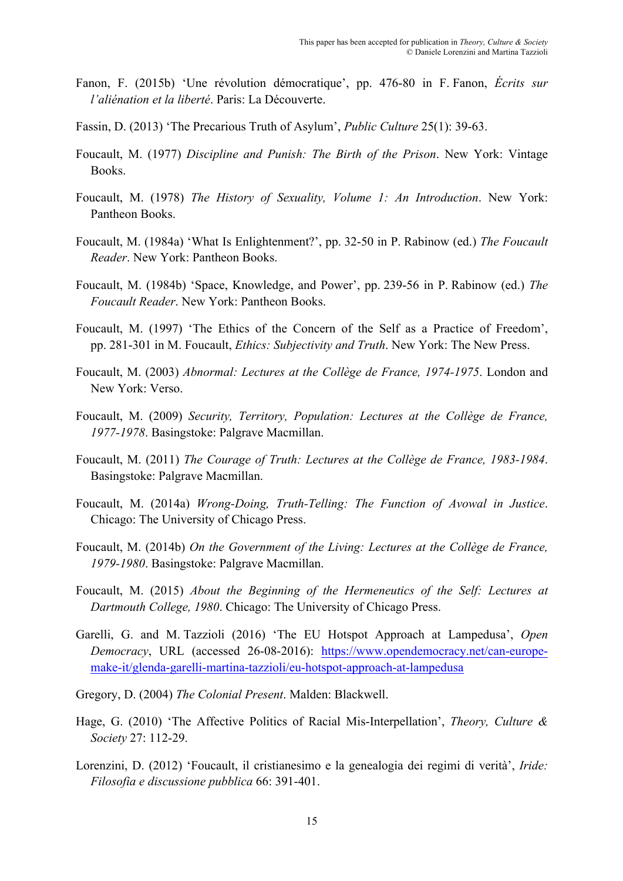- Fanon, F. (2015b) 'Une révolution démocratique', pp. 476-80 in F. Fanon, *Écrits sur l'aliénation et la liberté*. Paris: La Découverte.
- Fassin, D. (2013) 'The Precarious Truth of Asylum', *Public Culture* 25(1): 39-63.
- Foucault, M. (1977) *Discipline and Punish: The Birth of the Prison*. New York: Vintage Books.
- Foucault, M. (1978) *The History of Sexuality, Volume 1: An Introduction*. New York: Pantheon Books.
- Foucault, M. (1984a) 'What Is Enlightenment?', pp. 32-50 in P. Rabinow (ed.) *The Foucault Reader*. New York: Pantheon Books.
- Foucault, M. (1984b) 'Space, Knowledge, and Power', pp. 239-56 in P. Rabinow (ed.) *The Foucault Reader*. New York: Pantheon Books.
- Foucault, M. (1997) 'The Ethics of the Concern of the Self as a Practice of Freedom', pp. 281-301 in M. Foucault, *Ethics: Subjectivity and Truth*. New York: The New Press.
- Foucault, M. (2003) *Abnormal: Lectures at the Collège de France, 1974-1975*. London and New York: Verso.
- Foucault, M. (2009) *Security, Territory, Population: Lectures at the Collège de France, 1977-1978*. Basingstoke: Palgrave Macmillan.
- Foucault, M. (2011) *The Courage of Truth: Lectures at the Collège de France, 1983-1984*. Basingstoke: Palgrave Macmillan.
- Foucault, M. (2014a) *Wrong-Doing, Truth-Telling: The Function of Avowal in Justice*. Chicago: The University of Chicago Press.
- Foucault, M. (2014b) *On the Government of the Living: Lectures at the Collège de France, 1979-1980*. Basingstoke: Palgrave Macmillan.
- Foucault, M. (2015) *About the Beginning of the Hermeneutics of the Self: Lectures at Dartmouth College, 1980*. Chicago: The University of Chicago Press.
- Garelli, G. and M. Tazzioli (2016) 'The EU Hotspot Approach at Lampedusa', *Open Democracy*, URL (accessed 26-08-2016): https://www.opendemocracy.net/can-europemake-it/glenda-garelli-martina-tazzioli/eu-hotspot-approach-at-lampedusa
- Gregory, D. (2004) *The Colonial Present*. Malden: Blackwell.
- Hage, G. (2010) 'The Affective Politics of Racial Mis-Interpellation', *Theory, Culture & Society* 27: 112-29.
- Lorenzini, D. (2012) 'Foucault, il cristianesimo e la genealogia dei regimi di verità', *Iride: Filosofia e discussione pubblica* 66: 391-401.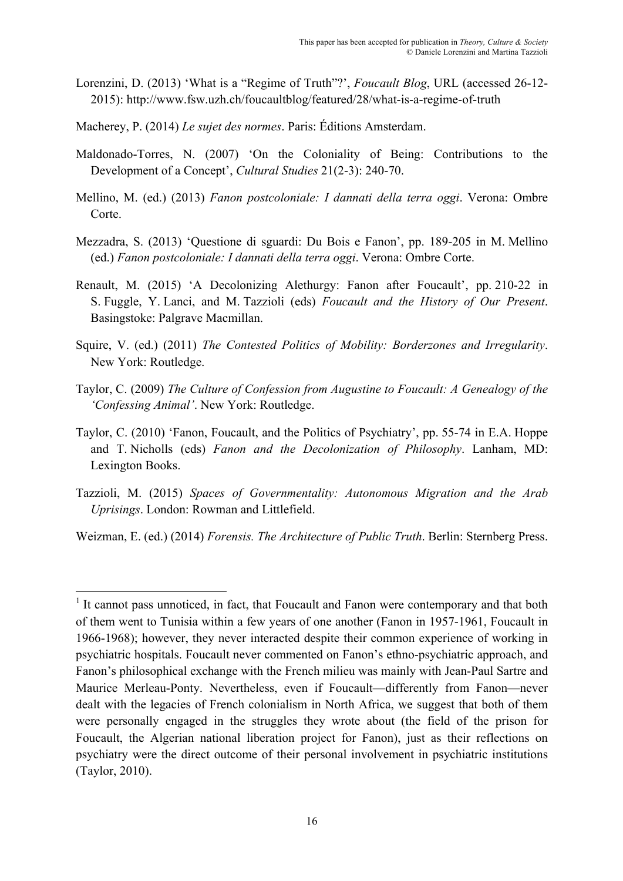- Lorenzini, D. (2013) 'What is a "Regime of Truth"?', *Foucault Blog*, URL (accessed 26-12- 2015): http://www.fsw.uzh.ch/foucaultblog/featured/28/what-is-a-regime-of-truth
- Macherey, P. (2014) *Le sujet des normes*. Paris: Éditions Amsterdam.
- Maldonado-Torres, N. (2007) 'On the Coloniality of Being: Contributions to the Development of a Concept', *Cultural Studies* 21(2-3): 240-70.
- Mellino, M. (ed.) (2013) *Fanon postcoloniale: I dannati della terra oggi*. Verona: Ombre Corte.
- Mezzadra, S. (2013) 'Questione di sguardi: Du Bois e Fanon', pp. 189-205 in M. Mellino (ed.) *Fanon postcoloniale: I dannati della terra oggi*. Verona: Ombre Corte.
- Renault, M. (2015) 'A Decolonizing Alethurgy: Fanon after Foucault', pp. 210-22 in S. Fuggle, Y. Lanci, and M. Tazzioli (eds) *Foucault and the History of Our Present*. Basingstoke: Palgrave Macmillan.
- Squire, V. (ed.) (2011) *The Contested Politics of Mobility: Borderzones and Irregularity*. New York: Routledge.
- Taylor, C. (2009) *The Culture of Confession from Augustine to Foucault: A Genealogy of the 'Confessing Animal'*. New York: Routledge.
- Taylor, C. (2010) 'Fanon, Foucault, and the Politics of Psychiatry', pp. 55-74 in E.A. Hoppe and T. Nicholls (eds) *Fanon and the Decolonization of Philosophy*. Lanham, MD: Lexington Books.
- Tazzioli, M. (2015) *Spaces of Governmentality: Autonomous Migration and the Arab Uprisings*. London: Rowman and Littlefield.

Weizman, E. (ed.) (2014) *Forensis. The Architecture of Public Truth*. Berlin: Sternberg Press.

<sup>&</sup>lt;sup>1</sup> It cannot pass unnoticed, in fact, that Foucault and Fanon were contemporary and that both of them went to Tunisia within a few years of one another (Fanon in 1957-1961, Foucault in 1966-1968); however, they never interacted despite their common experience of working in psychiatric hospitals. Foucault never commented on Fanon's ethno-psychiatric approach, and Fanon's philosophical exchange with the French milieu was mainly with Jean-Paul Sartre and Maurice Merleau-Ponty. Nevertheless, even if Foucault—differently from Fanon—never dealt with the legacies of French colonialism in North Africa, we suggest that both of them were personally engaged in the struggles they wrote about (the field of the prison for Foucault, the Algerian national liberation project for Fanon), just as their reflections on psychiatry were the direct outcome of their personal involvement in psychiatric institutions (Taylor, 2010).